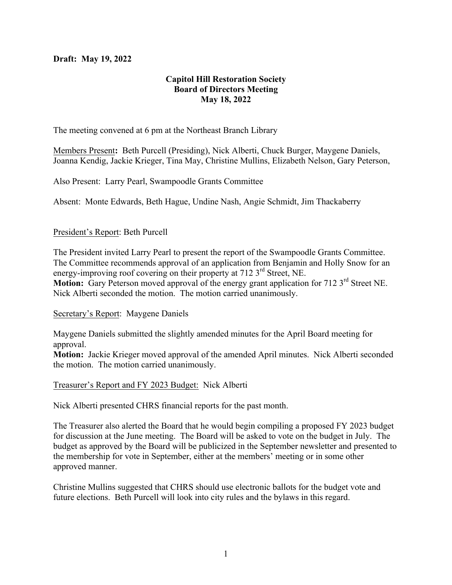## **Draft: May 19, 2022**

# **Capitol Hill Restoration Society Board of Directors Meeting May 18, 2022**

The meeting convened at 6 pm at the Northeast Branch Library

Members Present**:** Beth Purcell (Presiding), Nick Alberti, Chuck Burger, Maygene Daniels, Joanna Kendig, Jackie Krieger, Tina May, Christine Mullins, Elizabeth Nelson, Gary Peterson,

Also Present: Larry Pearl, Swampoodle Grants Committee

Absent: Monte Edwards, Beth Hague, Undine Nash, Angie Schmidt, Jim Thackaberry

### President's Report: Beth Purcell

The President invited Larry Pearl to present the report of the Swampoodle Grants Committee. The Committee recommends approval of an application from Benjamin and Holly Snow for an energy-improving roof covering on their property at  $7123<sup>rd</sup>$  Street, NE. Motion: Gary Peterson moved approval of the energy grant application for 712 3<sup>rd</sup> Street NE. Nick Alberti seconded the motion. The motion carried unanimously.

#### Secretary's Report: Maygene Daniels

Maygene Daniels submitted the slightly amended minutes for the April Board meeting for approval.

**Motion:** Jackie Krieger moved approval of the amended April minutes. Nick Alberti seconded the motion. The motion carried unanimously.

#### Treasurer's Report and FY 2023 Budget: Nick Alberti

Nick Alberti presented CHRS financial reports for the past month.

The Treasurer also alerted the Board that he would begin compiling a proposed FY 2023 budget for discussion at the June meeting. The Board will be asked to vote on the budget in July. The budget as approved by the Board will be publicized in the September newsletter and presented to the membership for vote in September, either at the members' meeting or in some other approved manner.

Christine Mullins suggested that CHRS should use electronic ballots for the budget vote and future elections. Beth Purcell will look into city rules and the bylaws in this regard.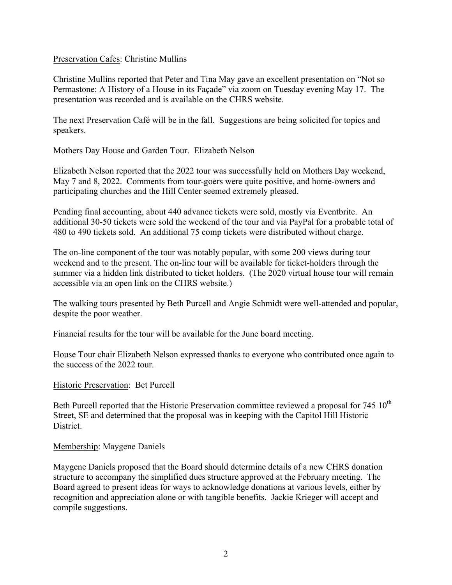### Preservation Cafes: Christine Mullins

Christine Mullins reported that Peter and Tina May gave an excellent presentation on "Not so Permastone: A History of a House in its Façade" via zoom on Tuesday evening May 17. The presentation was recorded and is available on the CHRS website.

The next Preservation Café will be in the fall. Suggestions are being solicited for topics and speakers.

Mothers Day House and Garden Tour. Elizabeth Nelson

Elizabeth Nelson reported that the 2022 tour was successfully held on Mothers Day weekend, May 7 and 8, 2022. Comments from tour-goers were quite positive, and home-owners and participating churches and the Hill Center seemed extremely pleased.

Pending final accounting, about 440 advance tickets were sold, mostly via Eventbrite. An additional 30-50 tickets were sold the weekend of the tour and via PayPal for a probable total of 480 to 490 tickets sold. An additional 75 comp tickets were distributed without charge.

The on-line component of the tour was notably popular, with some 200 views during tour weekend and to the present. The on-line tour will be available for ticket-holders through the summer via a hidden link distributed to ticket holders. (The 2020 virtual house tour will remain accessible via an open link on the CHRS website.)

The walking tours presented by Beth Purcell and Angie Schmidt were well-attended and popular, despite the poor weather.

Financial results for the tour will be available for the June board meeting.

House Tour chair Elizabeth Nelson expressed thanks to everyone who contributed once again to the success of the 2022 tour.

Historic Preservation: Bet Purcell

Beth Purcell reported that the Historic Preservation committee reviewed a proposal for  $745 \times 10^{th}$ Street, SE and determined that the proposal was in keeping with the Capitol Hill Historic **District** 

### Membership: Maygene Daniels

Maygene Daniels proposed that the Board should determine details of a new CHRS donation structure to accompany the simplified dues structure approved at the February meeting. The Board agreed to present ideas for ways to acknowledge donations at various levels, either by recognition and appreciation alone or with tangible benefits. Jackie Krieger will accept and compile suggestions.